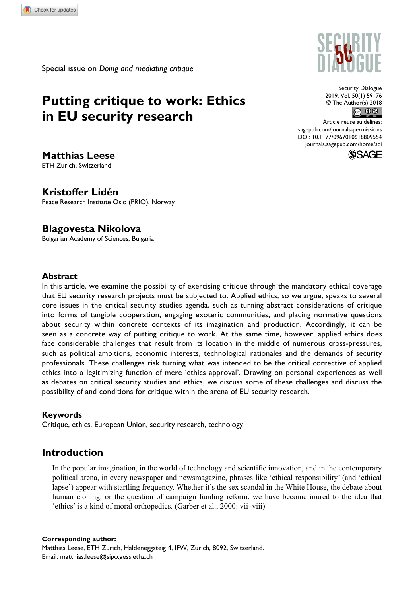Special issue on *Doing and mediating critique*

# **Putting critique to work: Ethics in EU security research**

# **Matthias Leese**

ETH Zurich, Switzerland

**Kristoffer Lidén** Peace Research Institute Oslo (PRIO), Norway

## **Blagovesta Nikolova**

Bulgarian Academy of Sciences, Bulgaria

#### **Abstract**

In this article, we examine the possibility of exercising critique through the mandatory ethical coverage that EU security research projects must be subjected to. Applied ethics, so we argue, speaks to several core issues in the critical security studies agenda, such as turning abstract considerations of critique into forms of tangible cooperation, engaging exoteric communities, and placing normative questions about security within concrete contexts of its imagination and production. Accordingly, it can be seen as a concrete way of putting critique to work. At the same time, however, applied ethics does face considerable challenges that result from its location in the middle of numerous cross-pressures, such as political ambitions, economic interests, technological rationales and the demands of security professionals. These challenges risk turning what was intended to be the critical corrective of applied ethics into a legitimizing function of mere 'ethics approval'. Drawing on personal experiences as well as debates on critical security studies and ethics, we discuss some of these challenges and discuss the possibility of and conditions for critique within the arena of EU security research.

#### **Keywords**

Critique, ethics, European Union, security research, technology

# **Introduction**

In the popular imagination, in the world of technology and scientific innovation, and in the contemporary political arena, in every newspaper and newsmagazine, phrases like 'ethical responsibility' (and 'ethical lapse') appear with startling frequency. Whether it's the sex scandal in the White House, the debate about human cloning, or the question of campaign funding reform, we have become inured to the idea that 'ethics' is a kind of moral orthopedics. (Garber et al., 2000: vii–viii)



Security Dialogue 2019, Vol. 50(1) 59–76 © The Author(s) 2018  $\circledcirc$   $\circledcirc$ 

DOI: 10.1177/0967010618809554 Article reuse guidelines: [sagepub.com/journals-permissions](https://uk.sagepub.com/en-gb/journals-permissions) [journals.sagepub.com/home/sdi](https://journals.sagepub.com/home/sdi)

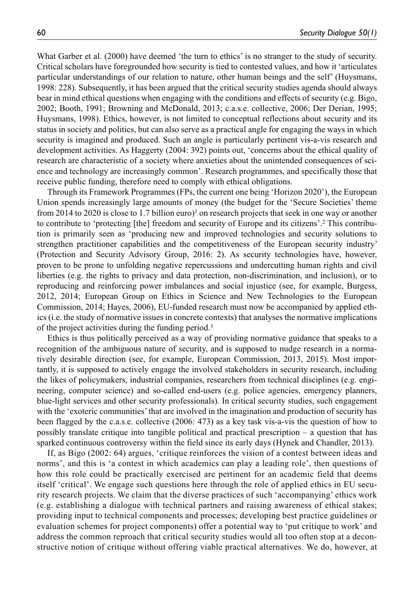What Garber et al. (2000) have deemed 'the turn to ethics' is no stranger to the study of security. Critical scholars have foregrounded how security is tied to contested values, and how it 'articulates particular understandings of our relation to nature, other human beings and the self' (Huysmans, 1998: 228). Subsequently, it has been argued that the critical security studies agenda should always bear in mind ethical questions when engaging with the conditions and effects of security (e.g. Bigo, 2002; Booth, 1991; Browning and McDonald, 2013; c.a.s.e. collective, 2006; Der Derian, 1995; Huysmans, 1998). Ethics, however, is not limited to conceptual reflections about security and its status in society and politics, but can also serve as a practical angle for engaging the ways in which security is imagined and produced. Such an angle is particularly pertinent vis-a-vis research and development activities. As Haggerty (2004: 392) points out, 'concerns about the ethical quality of research are characteristic of a society where anxieties about the unintended consequences of science and technology are increasingly common'. Research programmes, and specifically those that receive public funding, therefore need to comply with ethical obligations.

Through its Framework Programmes (FPs, the current one being 'Horizon 2020'), the European Union spends increasingly large amounts of money (the budget for the 'Secure Societies' theme from 2014 to 2020 is close to 1.7 billion euro)<sup>1</sup> on research projects that seek in one way or another to contribute to 'protecting [the] freedom and security of Europe and its citizens'.2 This contribution is primarily seen as 'producing new and improved technologies and security solutions to strengthen practitioner capabilities and the competitiveness of the European security industry' (Protection and Security Advisory Group, 2016: 2). As security technologies have, however, proven to be prone to unfolding negative repercussions and undercutting human rights and civil liberties (e.g. the rights to privacy and data protection, non-discrimination, and inclusion), or to reproducing and reinforcing power imbalances and social injustice (see, for example, Burgess, 2012, 2014; European Group on Ethics in Science and New Technologies to the European Commission, 2014; Hayes, 2006), EU-funded research must now be accompanied by applied ethics (i.e. the study of normative issues in concrete contexts) that analyses the normative implications of the project activities during the funding period.3

Ethics is thus politically perceived as a way of providing normative guidance that speaks to a recognition of the ambiguous nature of security, and is supposed to nudge research in a normatively desirable direction (see, for example, European Commission, 2013, 2015). Most importantly, it is supposed to actively engage the involved stakeholders in security research, including the likes of policymakers, industrial companies, researchers from technical disciplines (e.g. engineering, computer science) and so-called end-users (e.g. police agencies, emergency planners, blue-light services and other security professionals). In critical security studies, such engagement with the 'exoteric communities' that are involved in the imagination and production of security has been flagged by the c.a.s.e. collective (2006: 473) as a key task vis-a-vis the question of how to possibly translate critique into tangible political and practical prescription – a question that has sparked continuous controversy within the field since its early days (Hynek and Chandler, 2013).

If, as Bigo (2002: 64) argues, 'critique reinforces the vision of a contest between ideas and norms', and this is 'a contest in which academics can play a leading role', then questions of how this role could be practically exercised are pertinent for an academic field that deems itself 'critical'. We engage such questions here through the role of applied ethics in EU security research projects. We claim that the diverse practices of such 'accompanying' ethics work (e.g. establishing a dialogue with technical partners and raising awareness of ethical stakes; providing input to technical components and processes; developing best practice guidelines or evaluation schemes for project components) offer a potential way to 'put critique to work' and address the common reproach that critical security studies would all too often stop at a deconstructive notion of critique without offering viable practical alternatives. We do, however, at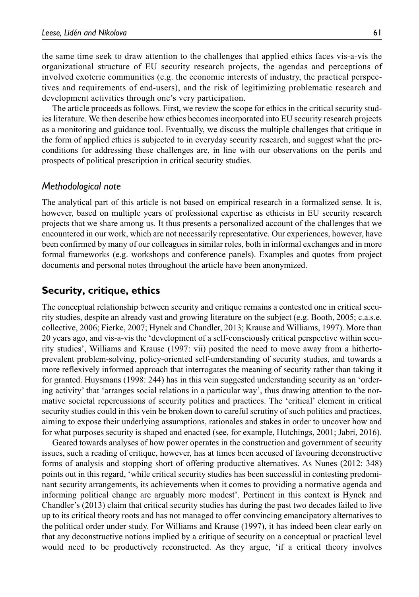the same time seek to draw attention to the challenges that applied ethics faces vis-a-vis the organizational structure of EU security research projects, the agendas and perceptions of involved exoteric communities (e.g. the economic interests of industry, the practical perspectives and requirements of end-users), and the risk of legitimizing problematic research and development activities through one's very participation.

The article proceeds as follows. First, we review the scope for ethics in the critical security studies literature. We then describe how ethics becomes incorporated into EU security research projects as a monitoring and guidance tool. Eventually, we discuss the multiple challenges that critique in the form of applied ethics is subjected to in everyday security research, and suggest what the preconditions for addressing these challenges are, in line with our observations on the perils and prospects of political prescription in critical security studies.

#### *Methodological note*

The analytical part of this article is not based on empirical research in a formalized sense. It is, however, based on multiple years of professional expertise as ethicists in EU security research projects that we share among us. It thus presents a personalized account of the challenges that we encountered in our work, which are not necessarily representative. Our experiences, however, have been confirmed by many of our colleagues in similar roles, both in informal exchanges and in more formal frameworks (e.g. workshops and conference panels). Examples and quotes from project documents and personal notes throughout the article have been anonymized.

### **Security, critique, ethics**

The conceptual relationship between security and critique remains a contested one in critical security studies, despite an already vast and growing literature on the subject (e.g. Booth, 2005; c.a.s.e. collective, 2006; Fierke, 2007; Hynek and Chandler, 2013; Krause and Williams, 1997). More than 20 years ago, and vis-a-vis the 'development of a self-consciously critical perspective within security studies', Williams and Krause (1997: vii) posited the need to move away from a hithertoprevalent problem-solving, policy-oriented self-understanding of security studies, and towards a more reflexively informed approach that interrogates the meaning of security rather than taking it for granted. Huysmans (1998: 244) has in this vein suggested understanding security as an 'ordering activity' that 'arranges social relations in a particular way', thus drawing attention to the normative societal repercussions of security politics and practices. The 'critical' element in critical security studies could in this vein be broken down to careful scrutiny of such politics and practices, aiming to expose their underlying assumptions, rationales and stakes in order to uncover how and for what purposes security is shaped and enacted (see, for example, Hutchings, 2001; Jabri, 2016).

Geared towards analyses of how power operates in the construction and government of security issues, such a reading of critique, however, has at times been accused of favouring deconstructive forms of analysis and stopping short of offering productive alternatives. As Nunes (2012: 348) points out in this regard, 'while critical security studies has been successful in contesting predominant security arrangements, its achievements when it comes to providing a normative agenda and informing political change are arguably more modest'. Pertinent in this context is Hynek and Chandler's (2013) claim that critical security studies has during the past two decades failed to live up to its critical theory roots and has not managed to offer convincing emancipatory alternatives to the political order under study. For Williams and Krause (1997), it has indeed been clear early on that any deconstructive notions implied by a critique of security on a conceptual or practical level would need to be productively reconstructed. As they argue, 'if a critical theory involves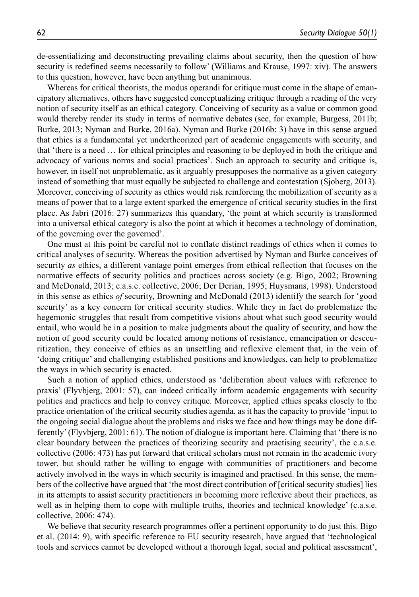de-essentializing and deconstructing prevailing claims about security, then the question of how security is redefined seems necessarily to follow' (Williams and Krause, 1997: xiv). The answers to this question, however, have been anything but unanimous.

Whereas for critical theorists, the modus operandi for critique must come in the shape of emancipatory alternatives, others have suggested conceptualizing critique through a reading of the very notion of security itself as an ethical category. Conceiving of security as a value or common good would thereby render its study in terms of normative debates (see, for example, Burgess, 2011b; Burke, 2013; Nyman and Burke, 2016a). Nyman and Burke (2016b: 3) have in this sense argued that ethics is a fundamental yet undertheorized part of academic engagements with security, and that 'there is a need … for ethical principles and reasoning to be deployed in both the critique and advocacy of various norms and social practices'. Such an approach to security and critique is, however, in itself not unproblematic, as it arguably presupposes the normative as a given category instead of something that must equally be subjected to challenge and contestation (Sjoberg, 2013). Moreover, conceiving of security as ethics would risk reinforcing the mobilization of security as a means of power that to a large extent sparked the emergence of critical security studies in the first place. As Jabri (2016: 27) summarizes this quandary, 'the point at which security is transformed into a universal ethical category is also the point at which it becomes a technology of domination, of the governing over the governed'.

One must at this point be careful not to conflate distinct readings of ethics when it comes to critical analyses of security. Whereas the position advertised by Nyman and Burke conceives of security *as* ethics, a different vantage point emerges from ethical reflection that focuses on the normative effects of security politics and practices across society (e.g. Bigo, 2002; Browning and McDonald, 2013; c.a.s.e. collective, 2006; Der Derian, 1995; Huysmans, 1998). Understood in this sense as ethics *of* security, Browning and McDonald (2013) identify the search for 'good security' as a key concern for critical security studies. While they in fact do problematize the hegemonic struggles that result from competitive visions about what such good security would entail, who would be in a position to make judgments about the quality of security, and how the notion of good security could be located among notions of resistance, emancipation or desecuritization, they conceive of ethics as an unsettling and reflexive element that, in the vein of 'doing critique' and challenging established positions and knowledges, can help to problematize the ways in which security is enacted.

Such a notion of applied ethics, understood as 'deliberation about values with reference to praxis' (Flyvbjerg, 2001: 57), can indeed critically inform academic engagements with security politics and practices and help to convey critique. Moreover, applied ethics speaks closely to the practice orientation of the critical security studies agenda, as it has the capacity to provide 'input to the ongoing social dialogue about the problems and risks we face and how things may be done differently' (Flyvbjerg, 2001: 61). The notion of dialogue is important here. Claiming that 'there is no clear boundary between the practices of theorizing security and practising security', the c.a.s.e. collective (2006: 473) has put forward that critical scholars must not remain in the academic ivory tower, but should rather be willing to engage with communities of practitioners and become actively involved in the ways in which security is imagined and practised. In this sense, the members of the collective have argued that 'the most direct contribution of [critical security studies] lies in its attempts to assist security practitioners in becoming more reflexive about their practices, as well as in helping them to cope with multiple truths, theories and technical knowledge' (c.a.s.e. collective, 2006: 474).

We believe that security research programmes offer a pertinent opportunity to do just this. Bigo et al. (2014: 9), with specific reference to EU security research, have argued that 'technological tools and services cannot be developed without a thorough legal, social and political assessment',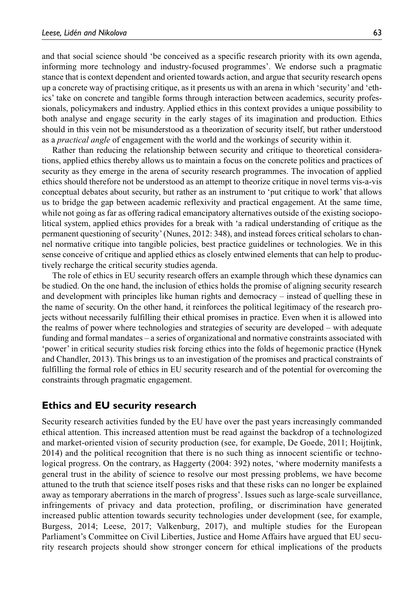and that social science should 'be conceived as a specific research priority with its own agenda, informing more technology and industry-focused programmes'. We endorse such a pragmatic stance that is context dependent and oriented towards action, and argue that security research opens up a concrete way of practising critique, as it presents us with an arena in which 'security' and 'ethics' take on concrete and tangible forms through interaction between academics, security professionals, policymakers and industry. Applied ethics in this context provides a unique possibility to both analyse and engage security in the early stages of its imagination and production. Ethics should in this vein not be misunderstood as a theorization of security itself, but rather understood as a *practical angle* of engagement with the world and the workings of security within it.

Rather than reducing the relationship between security and critique to theoretical considerations, applied ethics thereby allows us to maintain a focus on the concrete politics and practices of security as they emerge in the arena of security research programmes. The invocation of applied ethics should therefore not be understood as an attempt to theorize critique in novel terms vis-a-vis conceptual debates about security, but rather as an instrument to 'put critique to work' that allows us to bridge the gap between academic reflexivity and practical engagement. At the same time, while not going as far as offering radical emancipatory alternatives outside of the existing sociopolitical system, applied ethics provides for a break with 'a radical understanding of critique as the permanent questioning of security' (Nunes, 2012: 348), and instead forces critical scholars to channel normative critique into tangible policies, best practice guidelines or technologies. We in this sense conceive of critique and applied ethics as closely entwined elements that can help to productively recharge the critical security studies agenda.

The role of ethics in EU security research offers an example through which these dynamics can be studied. On the one hand, the inclusion of ethics holds the promise of aligning security research and development with principles like human rights and democracy – instead of quelling these in the name of security. On the other hand, it reinforces the political legitimacy of the research projects without necessarily fulfilling their ethical promises in practice. Even when it is allowed into the realms of power where technologies and strategies of security are developed – with adequate funding and formal mandates – a series of organizational and normative constraints associated with 'power' in critical security studies risk forcing ethics into the folds of hegemonic practice (Hynek and Chandler, 2013). This brings us to an investigation of the promises and practical constraints of fulfilling the formal role of ethics in EU security research and of the potential for overcoming the constraints through pragmatic engagement.

## **Ethics and EU security research**

Security research activities funded by the EU have over the past years increasingly commanded ethical attention. This increased attention must be read against the backdrop of a technologized and market-oriented vision of security production (see, for example, De Goede, 2011; Hoijtink, 2014) and the political recognition that there is no such thing as innocent scientific or technological progress. On the contrary, as Haggerty (2004: 392) notes, 'where modernity manifests a general trust in the ability of science to resolve our most pressing problems, we have become attuned to the truth that science itself poses risks and that these risks can no longer be explained away as temporary aberrations in the march of progress'. Issues such as large-scale surveillance, infringements of privacy and data protection, profiling, or discrimination have generated increased public attention towards security technologies under development (see, for example, Burgess, 2014; Leese, 2017; Valkenburg, 2017), and multiple studies for the European Parliament's Committee on Civil Liberties, Justice and Home Affairs have argued that EU security research projects should show stronger concern for ethical implications of the products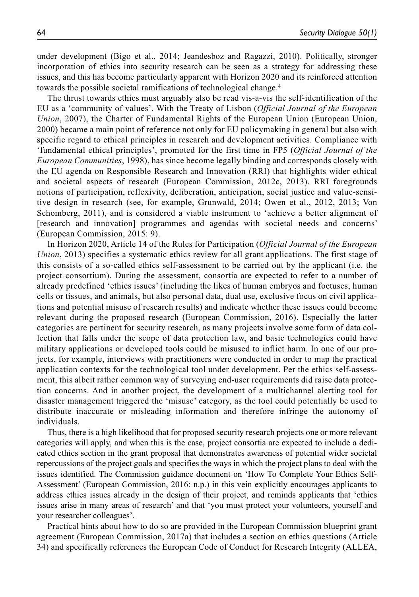under development (Bigo et al., 2014; Jeandesboz and Ragazzi, 2010). Politically, stronger incorporation of ethics into security research can be seen as a strategy for addressing these issues, and this has become particularly apparent with Horizon 2020 and its reinforced attention towards the possible societal ramifications of technological change.4

The thrust towards ethics must arguably also be read vis-a-vis the self-identification of the EU as a 'community of values'. With the Treaty of Lisbon (*Official Journal of the European Union*, 2007), the Charter of Fundamental Rights of the European Union (European Union, 2000) became a main point of reference not only for EU policymaking in general but also with specific regard to ethical principles in research and development activities. Compliance with 'fundamental ethical principles', promoted for the first time in FP5 (*Official Journal of the European Communities*, 1998), has since become legally binding and corresponds closely with the EU agenda on Responsible Research and Innovation (RRI) that highlights wider ethical and societal aspects of research (European Commission, 2012c, 2013). RRI foregrounds notions of participation, reflexivity, deliberation, anticipation, social justice and value-sensitive design in research (see, for example, Grunwald, 2014; Owen et al., 2012, 2013; Von Schomberg, 2011), and is considered a viable instrument to 'achieve a better alignment of [research and innovation] programmes and agendas with societal needs and concerns' (European Commission, 2015: 9).

In Horizon 2020, Article 14 of the Rules for Participation (*Official Journal of the European Union*, 2013) specifies a systematic ethics review for all grant applications. The first stage of this consists of a so-called ethics self-assessment to be carried out by the applicant (i.e. the project consortium). During the assessment, consortia are expected to refer to a number of already predefined 'ethics issues' (including the likes of human embryos and foetuses, human cells or tissues, and animals, but also personal data, dual use, exclusive focus on civil applications and potential misuse of research results) and indicate whether these issues could become relevant during the proposed research (European Commission, 2016). Especially the latter categories are pertinent for security research, as many projects involve some form of data collection that falls under the scope of data protection law, and basic technologies could have military applications or developed tools could be misused to inflict harm. In one of our projects, for example, interviews with practitioners were conducted in order to map the practical application contexts for the technological tool under development. Per the ethics self-assessment, this albeit rather common way of surveying end-user requirements did raise data protection concerns. And in another project, the development of a multichannel alerting tool for disaster management triggered the 'misuse' category, as the tool could potentially be used to distribute inaccurate or misleading information and therefore infringe the autonomy of individuals.

Thus, there is a high likelihood that for proposed security research projects one or more relevant categories will apply, and when this is the case, project consortia are expected to include a dedicated ethics section in the grant proposal that demonstrates awareness of potential wider societal repercussions of the project goals and specifies the ways in which the project plans to deal with the issues identified. The Commission guidance document on 'How To Complete Your Ethics Self-Assessment' (European Commission, 2016: n.p.) in this vein explicitly encourages applicants to address ethics issues already in the design of their project, and reminds applicants that 'ethics issues arise in many areas of research' and that 'you must protect your volunteers, yourself and your researcher colleagues'.

Practical hints about how to do so are provided in the European Commission blueprint grant agreement (European Commission, 2017a) that includes a section on ethics questions (Article 34) and specifically references the European Code of Conduct for Research Integrity (ALLEA,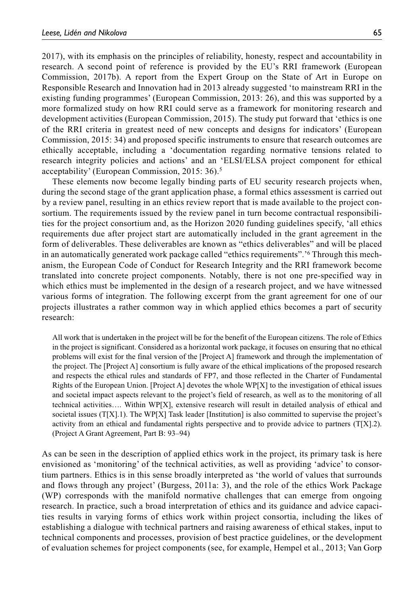2017), with its emphasis on the principles of reliability, honesty, respect and accountability in research. A second point of reference is provided by the EU's RRI framework (European Commission, 2017b). A report from the Expert Group on the State of Art in Europe on Responsible Research and Innovation had in 2013 already suggested 'to mainstream RRI in the existing funding programmes' (European Commission, 2013: 26), and this was supported by a more formalized study on how RRI could serve as a framework for monitoring research and development activities (European Commission, 2015). The study put forward that 'ethics is one of the RRI criteria in greatest need of new concepts and designs for indicators' (European Commission, 2015: 34) and proposed specific instruments to ensure that research outcomes are ethically acceptable, including a 'documentation regarding normative tensions related to research integrity policies and actions' and an 'ELSI/ELSA project component for ethical acceptability' (European Commission, 2015: 36).5

These elements now become legally binding parts of EU security research projects when, during the second stage of the grant application phase, a formal ethics assessment is carried out by a review panel, resulting in an ethics review report that is made available to the project consortium. The requirements issued by the review panel in turn become contractual responsibilities for the project consortium and, as the Horizon 2020 funding guidelines specify, 'all ethics requirements due after project start are automatically included in the grant agreement in the form of deliverables. These deliverables are known as "ethics deliverables" and will be placed in an automatically generated work package called "ethics requirements".'6 Through this mechanism, the European Code of Conduct for Research Integrity and the RRI framework become translated into concrete project components. Notably, there is not one pre-specified way in which ethics must be implemented in the design of a research project, and we have witnessed various forms of integration. The following excerpt from the grant agreement for one of our projects illustrates a rather common way in which applied ethics becomes a part of security research:

All work that is undertaken in the project will be for the benefit of the European citizens. The role of Ethics in the project is significant. Considered as a horizontal work package, it focuses on ensuring that no ethical problems will exist for the final version of the [Project A] framework and through the implementation of the project. The [Project A] consortium is fully aware of the ethical implications of the proposed research and respects the ethical rules and standards of FP7, and those reflected in the Charter of Fundamental Rights of the European Union. [Project A] devotes the whole  $WP[X]$  to the investigation of ethical issues and societal impact aspects relevant to the project's field of research, as well as to the monitoring of all technical activities…. Within WP[X], extensive research will result in detailed analysis of ethical and societal issues  $(T[X].1)$ . The WP[X] Task leader [Institution] is also committed to supervise the project's activity from an ethical and fundamental rights perspective and to provide advice to partners (T[X].2). (Project A Grant Agreement, Part B: 93–94)

As can be seen in the description of applied ethics work in the project, its primary task is here envisioned as 'monitoring' of the technical activities, as well as providing 'advice' to consortium partners. Ethics is in this sense broadly interpreted as 'the world of values that surrounds and flows through any project' (Burgess, 2011a: 3), and the role of the ethics Work Package (WP) corresponds with the manifold normative challenges that can emerge from ongoing research. In practice, such a broad interpretation of ethics and its guidance and advice capacities results in varying forms of ethics work within project consortia, including the likes of establishing a dialogue with technical partners and raising awareness of ethical stakes, input to technical components and processes, provision of best practice guidelines, or the development of evaluation schemes for project components (see, for example, Hempel et al., 2013; Van Gorp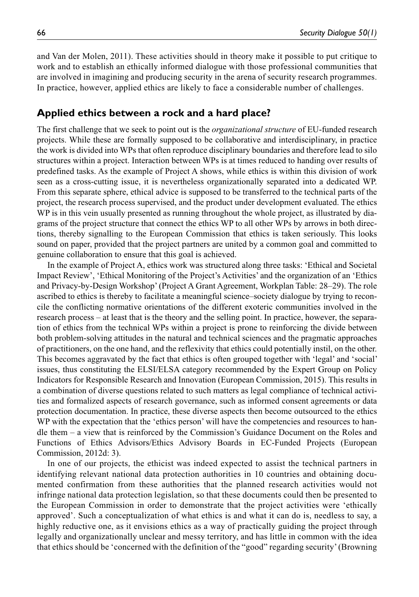and Van der Molen, 2011). These activities should in theory make it possible to put critique to work and to establish an ethically informed dialogue with those professional communities that are involved in imagining and producing security in the arena of security research programmes. In practice, however, applied ethics are likely to face a considerable number of challenges.

## **Applied ethics between a rock and a hard place?**

The first challenge that we seek to point out is the *organizational structure* of EU-funded research projects. While these are formally supposed to be collaborative and interdisciplinary, in practice the work is divided into WPs that often reproduce disciplinary boundaries and therefore lead to silo structures within a project. Interaction between WPs is at times reduced to handing over results of predefined tasks. As the example of Project A shows, while ethics is within this division of work seen as a cross-cutting issue, it is nevertheless organizationally separated into a dedicated WP. From this separate sphere, ethical advice is supposed to be transferred to the technical parts of the project, the research process supervised, and the product under development evaluated. The ethics WP is in this vein usually presented as running throughout the whole project, as illustrated by diagrams of the project structure that connect the ethics WP to all other WPs by arrows in both directions, thereby signalling to the European Commission that ethics is taken seriously. This looks sound on paper, provided that the project partners are united by a common goal and committed to genuine collaboration to ensure that this goal is achieved.

In the example of Project A, ethics work was structured along three tasks: 'Ethical and Societal Impact Review', 'Ethical Monitoring of the Project's Activities' and the organization of an 'Ethics and Privacy-by-Design Workshop' (Project A Grant Agreement, Workplan Table: 28–29). The role ascribed to ethics is thereby to facilitate a meaningful science–society dialogue by trying to reconcile the conflicting normative orientations of the different exoteric communities involved in the research process – at least that is the theory and the selling point. In practice, however, the separation of ethics from the technical WPs within a project is prone to reinforcing the divide between both problem-solving attitudes in the natural and technical sciences and the pragmatic approaches of practitioners, on the one hand, and the reflexivity that ethics could potentially instil, on the other. This becomes aggravated by the fact that ethics is often grouped together with 'legal' and 'social' issues, thus constituting the ELSI/ELSA category recommended by the Expert Group on Policy Indicators for Responsible Research and Innovation (European Commission, 2015). This results in a combination of diverse questions related to such matters as legal compliance of technical activities and formalized aspects of research governance, such as informed consent agreements or data protection documentation. In practice, these diverse aspects then become outsourced to the ethics WP with the expectation that the 'ethics person' will have the competencies and resources to handle them – a view that is reinforced by the Commission's Guidance Document on the Roles and Functions of Ethics Advisors/Ethics Advisory Boards in EC-Funded Projects (European Commission, 2012d: 3).

In one of our projects, the ethicist was indeed expected to assist the technical partners in identifying relevant national data protection authorities in 10 countries and obtaining documented confirmation from these authorities that the planned research activities would not infringe national data protection legislation, so that these documents could then be presented to the European Commission in order to demonstrate that the project activities were 'ethically approved'. Such a conceptualization of what ethics is and what it can do is, needless to say, a highly reductive one, as it envisions ethics as a way of practically guiding the project through legally and organizationally unclear and messy territory, and has little in common with the idea that ethics should be 'concerned with the definition of the "good" regarding security' (Browning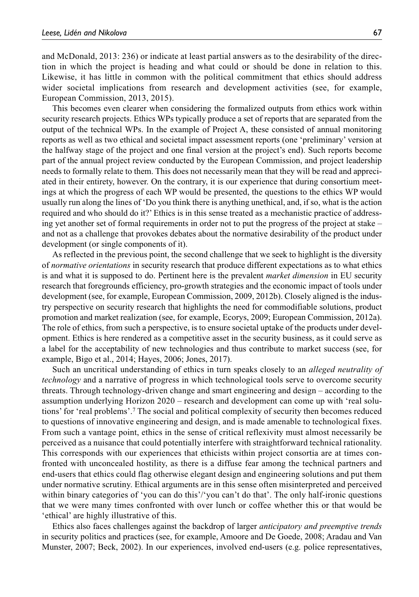and McDonald, 2013: 236) or indicate at least partial answers as to the desirability of the direction in which the project is heading and what could or should be done in relation to this. Likewise, it has little in common with the political commitment that ethics should address wider societal implications from research and development activities (see, for example, European Commission, 2013, 2015).

This becomes even clearer when considering the formalized outputs from ethics work within security research projects. Ethics WPs typically produce a set of reports that are separated from the output of the technical WPs. In the example of Project A, these consisted of annual monitoring reports as well as two ethical and societal impact assessment reports (one 'preliminary' version at the halfway stage of the project and one final version at the project's end). Such reports become part of the annual project review conducted by the European Commission, and project leadership needs to formally relate to them. This does not necessarily mean that they will be read and appreciated in their entirety, however. On the contrary, it is our experience that during consortium meetings at which the progress of each WP would be presented, the questions to the ethics WP would usually run along the lines of 'Do you think there is anything unethical, and, if so, what is the action required and who should do it?' Ethics is in this sense treated as a mechanistic practice of addressing yet another set of formal requirements in order not to put the progress of the project at stake – and not as a challenge that provokes debates about the normative desirability of the product under development (or single components of it).

As reflected in the previous point, the second challenge that we seek to highlight is the diversity of *normative orientations* in security research that produce different expectations as to what ethics is and what it is supposed to do. Pertinent here is the prevalent *market dimension* in EU security research that foregrounds efficiency, pro-growth strategies and the economic impact of tools under development (see, for example, European Commission, 2009, 2012b). Closely aligned is the industry perspective on security research that highlights the need for commodifiable solutions, product promotion and market realization (see, for example, Ecorys, 2009; European Commission, 2012a). The role of ethics, from such a perspective, is to ensure societal uptake of the products under development. Ethics is here rendered as a competitive asset in the security business, as it could serve as a label for the acceptability of new technologies and thus contribute to market success (see, for example, Bigo et al., 2014; Hayes, 2006; Jones, 2017).

Such an uncritical understanding of ethics in turn speaks closely to an *alleged neutrality of technology* and a narrative of progress in which technological tools serve to overcome security threats. Through technology-driven change and smart engineering and design – according to the assumption underlying Horizon 2020 – research and development can come up with 'real solutions' for 'real problems'.7 The social and political complexity of security then becomes reduced to questions of innovative engineering and design, and is made amenable to technological fixes. From such a vantage point, ethics in the sense of critical reflexivity must almost necessarily be perceived as a nuisance that could potentially interfere with straightforward technical rationality. This corresponds with our experiences that ethicists within project consortia are at times confronted with unconcealed hostility, as there is a diffuse fear among the technical partners and end-users that ethics could flag otherwise elegant design and engineering solutions and put them under normative scrutiny. Ethical arguments are in this sense often misinterpreted and perceived within binary categories of 'you can do this'/'you can't do that'. The only half-ironic questions that we were many times confronted with over lunch or coffee whether this or that would be 'ethical' are highly illustrative of this.

Ethics also faces challenges against the backdrop of larger *anticipatory and preemptive trends* in security politics and practices (see, for example, Amoore and De Goede, 2008; Aradau and Van Munster, 2007; Beck, 2002). In our experiences, involved end-users (e.g. police representatives,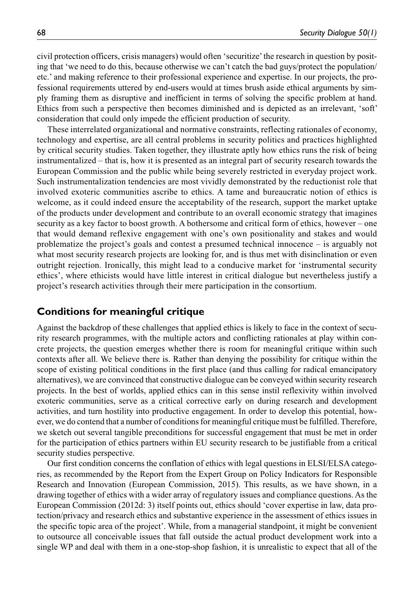civil protection officers, crisis managers) would often 'securitize' the research in question by positing that 'we need to do this, because otherwise we can't catch the bad guys/protect the population/ etc.' and making reference to their professional experience and expertise. In our projects, the professional requirements uttered by end-users would at times brush aside ethical arguments by simply framing them as disruptive and inefficient in terms of solving the specific problem at hand. Ethics from such a perspective then becomes diminished and is depicted as an irrelevant, 'soft' consideration that could only impede the efficient production of security.

These interrelated organizational and normative constraints, reflecting rationales of economy, technology and expertise, are all central problems in security politics and practices highlighted by critical security studies. Taken together, they illustrate aptly how ethics runs the risk of being instrumentalized – that is, how it is presented as an integral part of security research towards the European Commission and the public while being severely restricted in everyday project work. Such instrumentalization tendencies are most vividly demonstrated by the reductionist role that involved exoteric communities ascribe to ethics. A tame and bureaucratic notion of ethics is welcome, as it could indeed ensure the acceptability of the research, support the market uptake of the products under development and contribute to an overall economic strategy that imagines security as a key factor to boost growth. A bothersome and critical form of ethics, however – one that would demand reflexive engagement with one's own positionality and stakes and would problematize the project's goals and contest a presumed technical innocence – is arguably not what most security research projects are looking for, and is thus met with disinclination or even outright rejection. Ironically, this might lead to a conducive market for 'instrumental security ethics', where ethicists would have little interest in critical dialogue but nevertheless justify a project's research activities through their mere participation in the consortium.

# **Conditions for meaningful critique**

Against the backdrop of these challenges that applied ethics is likely to face in the context of security research programmes, with the multiple actors and conflicting rationales at play within concrete projects, the question emerges whether there is room for meaningful critique within such contexts after all. We believe there is. Rather than denying the possibility for critique within the scope of existing political conditions in the first place (and thus calling for radical emancipatory alternatives), we are convinced that constructive dialogue can be conveyed within security research projects. In the best of worlds, applied ethics can in this sense instil reflexivity within involved exoteric communities, serve as a critical corrective early on during research and development activities, and turn hostility into productive engagement. In order to develop this potential, however, we do contend that a number of conditions for meaningful critique must be fulfilled. Therefore, we sketch out several tangible preconditions for successful engagement that must be met in order for the participation of ethics partners within EU security research to be justifiable from a critical security studies perspective.

Our first condition concerns the conflation of ethics with legal questions in ELSI/ELSA categories, as recommended by the Report from the Expert Group on Policy Indicators for Responsible Research and Innovation (European Commission, 2015). This results, as we have shown, in a drawing together of ethics with a wider array of regulatory issues and compliance questions. As the European Commission (2012d: 3) itself points out, ethics should 'cover expertise in law, data protection/privacy and research ethics and substantive experience in the assessment of ethics issues in the specific topic area of the project'. While, from a managerial standpoint, it might be convenient to outsource all conceivable issues that fall outside the actual product development work into a single WP and deal with them in a one-stop-shop fashion, it is unrealistic to expect that all of the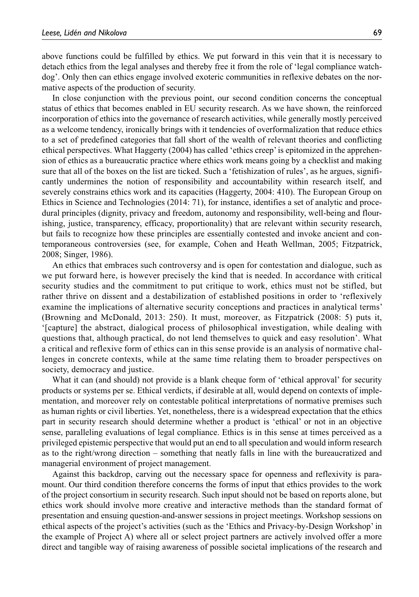above functions could be fulfilled by ethics. We put forward in this vein that it is necessary to detach ethics from the legal analyses and thereby free it from the role of 'legal compliance watchdog'. Only then can ethics engage involved exoteric communities in reflexive debates on the normative aspects of the production of security.

In close conjunction with the previous point, our second condition concerns the conceptual status of ethics that becomes enabled in EU security research. As we have shown, the reinforced incorporation of ethics into the governance of research activities, while generally mostly perceived as a welcome tendency, ironically brings with it tendencies of overformalization that reduce ethics to a set of predefined categories that fall short of the wealth of relevant theories and conflicting ethical perspectives. What Haggerty (2004) has called 'ethics creep' is epitomized in the apprehension of ethics as a bureaucratic practice where ethics work means going by a checklist and making sure that all of the boxes on the list are ticked. Such a 'fetishization of rules', as he argues, significantly undermines the notion of responsibility and accountability within research itself, and severely constrains ethics work and its capacities (Haggerty, 2004: 410). The European Group on Ethics in Science and Technologies (2014: 71), for instance, identifies a set of analytic and procedural principles (dignity, privacy and freedom, autonomy and responsibility, well-being and flourishing, justice, transparency, efficacy, proportionality) that are relevant within security research, but fails to recognize how these principles are essentially contested and invoke ancient and contemporaneous controversies (see, for example, Cohen and Heath Wellman, 2005; Fitzpatrick, 2008; Singer, 1986).

An ethics that embraces such controversy and is open for contestation and dialogue, such as we put forward here, is however precisely the kind that is needed. In accordance with critical security studies and the commitment to put critique to work, ethics must not be stifled, but rather thrive on dissent and a destabilization of established positions in order to 'reflexively examine the implications of alternative security conceptions and practices in analytical terms' (Browning and McDonald, 2013: 250). It must, moreover, as Fitzpatrick (2008: 5) puts it, '[capture] the abstract, dialogical process of philosophical investigation, while dealing with questions that, although practical, do not lend themselves to quick and easy resolution'. What a critical and reflexive form of ethics can in this sense provide is an analysis of normative challenges in concrete contexts, while at the same time relating them to broader perspectives on society, democracy and justice.

What it can (and should) not provide is a blank cheque form of 'ethical approval' for security products or systems per se. Ethical verdicts, if desirable at all, would depend on contexts of implementation, and moreover rely on contestable political interpretations of normative premises such as human rights or civil liberties. Yet, nonetheless, there is a widespread expectation that the ethics part in security research should determine whether a product is 'ethical' or not in an objective sense, paralleling evaluations of legal compliance. Ethics is in this sense at times perceived as a privileged epistemic perspective that would put an end to all speculation and would inform research as to the right/wrong direction – something that neatly falls in line with the bureaucratized and managerial environment of project management.

Against this backdrop, carving out the necessary space for openness and reflexivity is paramount. Our third condition therefore concerns the forms of input that ethics provides to the work of the project consortium in security research. Such input should not be based on reports alone, but ethics work should involve more creative and interactive methods than the standard format of presentation and ensuing question-and-answer sessions in project meetings. Workshop sessions on ethical aspects of the project's activities (such as the 'Ethics and Privacy-by-Design Workshop' in the example of Project A) where all or select project partners are actively involved offer a more direct and tangible way of raising awareness of possible societal implications of the research and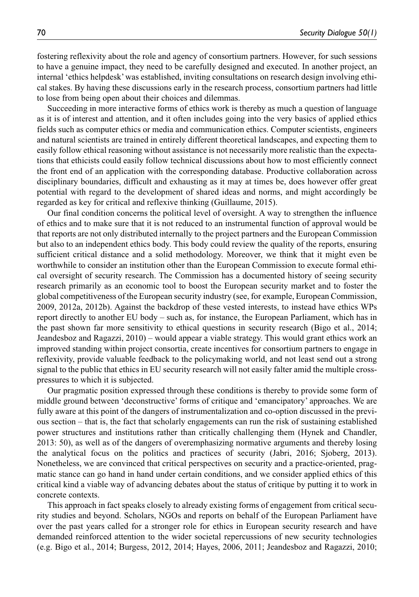fostering reflexivity about the role and agency of consortium partners. However, for such sessions to have a genuine impact, they need to be carefully designed and executed. In another project, an internal 'ethics helpdesk' was established, inviting consultations on research design involving ethical stakes. By having these discussions early in the research process, consortium partners had little to lose from being open about their choices and dilemmas.

Succeeding in more interactive forms of ethics work is thereby as much a question of language as it is of interest and attention, and it often includes going into the very basics of applied ethics fields such as computer ethics or media and communication ethics. Computer scientists, engineers and natural scientists are trained in entirely different theoretical landscapes, and expecting them to easily follow ethical reasoning without assistance is not necessarily more realistic than the expectations that ethicists could easily follow technical discussions about how to most efficiently connect the front end of an application with the corresponding database. Productive collaboration across disciplinary boundaries, difficult and exhausting as it may at times be, does however offer great potential with regard to the development of shared ideas and norms, and might accordingly be regarded as key for critical and reflexive thinking (Guillaume, 2015).

Our final condition concerns the political level of oversight. A way to strengthen the influence of ethics and to make sure that it is not reduced to an instrumental function of approval would be that reports are not only distributed internally to the project partners and the European Commission but also to an independent ethics body. This body could review the quality of the reports, ensuring sufficient critical distance and a solid methodology. Moreover, we think that it might even be worthwhile to consider an institution other than the European Commission to execute formal ethical oversight of security research. The Commission has a documented history of seeing security research primarily as an economic tool to boost the European security market and to foster the global competitiveness of the European security industry (see, for example, European Commission, 2009, 2012a, 2012b). Against the backdrop of these vested interests, to instead have ethics WPs report directly to another EU body – such as, for instance, the European Parliament, which has in the past shown far more sensitivity to ethical questions in security research (Bigo et al., 2014; Jeandesboz and Ragazzi, 2010) – would appear a viable strategy. This would grant ethics work an improved standing within project consortia, create incentives for consortium partners to engage in reflexivity, provide valuable feedback to the policymaking world, and not least send out a strong signal to the public that ethics in EU security research will not easily falter amid the multiple crosspressures to which it is subjected.

Our pragmatic position expressed through these conditions is thereby to provide some form of middle ground between 'deconstructive' forms of critique and 'emancipatory' approaches. We are fully aware at this point of the dangers of instrumentalization and co-option discussed in the previous section – that is, the fact that scholarly engagements can run the risk of sustaining established power structures and institutions rather than critically challenging them (Hynek and Chandler, 2013: 50), as well as of the dangers of overemphasizing normative arguments and thereby losing the analytical focus on the politics and practices of security (Jabri, 2016; Sjoberg, 2013). Nonetheless, we are convinced that critical perspectives on security and a practice-oriented, pragmatic stance can go hand in hand under certain conditions, and we consider applied ethics of this critical kind a viable way of advancing debates about the status of critique by putting it to work in concrete contexts.

This approach in fact speaks closely to already existing forms of engagement from critical security studies and beyond. Scholars, NGOs and reports on behalf of the European Parliament have over the past years called for a stronger role for ethics in European security research and have demanded reinforced attention to the wider societal repercussions of new security technologies (e.g. Bigo et al., 2014; Burgess, 2012, 2014; Hayes, 2006, 2011; Jeandesboz and Ragazzi, 2010;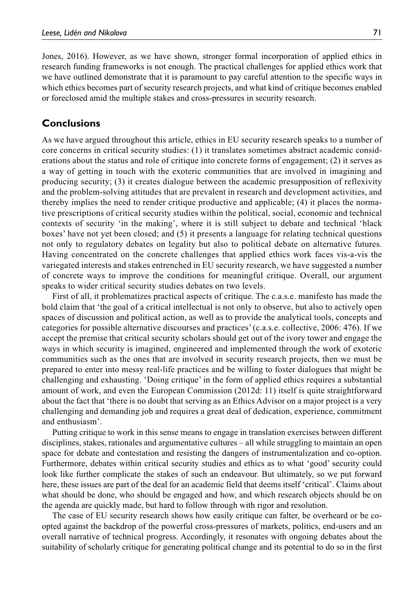Jones, 2016). However, as we have shown, stronger formal incorporation of applied ethics in research funding frameworks is not enough. The practical challenges for applied ethics work that we have outlined demonstrate that it is paramount to pay careful attention to the specific ways in which ethics becomes part of security research projects, and what kind of critique becomes enabled or foreclosed amid the multiple stakes and cross-pressures in security research.

## **Conclusions**

As we have argued throughout this article, ethics in EU security research speaks to a number of core concerns in critical security studies: (1) it translates sometimes abstract academic considerations about the status and role of critique into concrete forms of engagement; (2) it serves as a way of getting in touch with the exoteric communities that are involved in imagining and producing security; (3) it creates dialogue between the academic presupposition of reflexivity and the problem-solving attitudes that are prevalent in research and development activities, and thereby implies the need to render critique productive and applicable; (4) it places the normative prescriptions of critical security studies within the political, social, economic and technical contexts of security 'in the making', where it is still subject to debate and technical 'black boxes' have not yet been closed; and (5) it presents a language for relating technical questions not only to regulatory debates on legality but also to political debate on alternative futures. Having concentrated on the concrete challenges that applied ethics work faces vis-a-vis the variegated interests and stakes entrenched in EU security research, we have suggested a number of concrete ways to improve the conditions for meaningful critique. Overall, our argument speaks to wider critical security studies debates on two levels.

First of all, it problematizes practical aspects of critique. The c.a.s.e. manifesto has made the bold claim that 'the goal of a critical intellectual is not only to observe, but also to actively open spaces of discussion and political action, as well as to provide the analytical tools, concepts and categories for possible alternative discourses and practices' (c.a.s.e. collective, 2006: 476). If we accept the premise that critical security scholars should get out of the ivory tower and engage the ways in which security is imagined, engineered and implemented through the work of exoteric communities such as the ones that are involved in security research projects, then we must be prepared to enter into messy real-life practices and be willing to foster dialogues that might be challenging and exhausting. 'Doing critique' in the form of applied ethics requires a substantial amount of work, and even the European Commission (2012d: 11) itself is quite straightforward about the fact that 'there is no doubt that serving as an Ethics Advisor on a major project is a very challenging and demanding job and requires a great deal of dedication, experience, commitment and enthusiasm'.

Putting critique to work in this sense means to engage in translation exercises between different disciplines, stakes, rationales and argumentative cultures – all while struggling to maintain an open space for debate and contestation and resisting the dangers of instrumentalization and co-option. Furthermore, debates within critical security studies and ethics as to what 'good' security could look like further complicate the stakes of such an endeavour. But ultimately, so we put forward here, these issues are part of the deal for an academic field that deems itself 'critical'. Claims about what should be done, who should be engaged and how, and which research objects should be on the agenda are quickly made, but hard to follow through with rigor and resolution.

The case of EU security research shows how easily critique can falter, be overheard or be coopted against the backdrop of the powerful cross-pressures of markets, politics, end-users and an overall narrative of technical progress. Accordingly, it resonates with ongoing debates about the suitability of scholarly critique for generating political change and its potential to do so in the first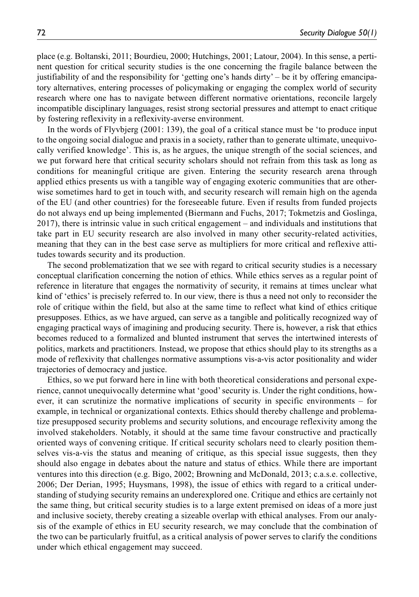place (e.g. Boltanski, 2011; Bourdieu, 2000; Hutchings, 2001; Latour, 2004). In this sense, a pertinent question for critical security studies is the one concerning the fragile balance between the justifiability of and the responsibility for 'getting one's hands dirty' – be it by offering emancipatory alternatives, entering processes of policymaking or engaging the complex world of security research where one has to navigate between different normative orientations, reconcile largely incompatible disciplinary languages, resist strong sectorial pressures and attempt to enact critique by fostering reflexivity in a reflexivity-averse environment.

In the words of Flyvbjerg (2001: 139), the goal of a critical stance must be 'to produce input to the ongoing social dialogue and praxis in a society, rather than to generate ultimate, unequivocally verified knowledge'. This is, as he argues, the unique strength of the social sciences, and we put forward here that critical security scholars should not refrain from this task as long as conditions for meaningful critique are given. Entering the security research arena through applied ethics presents us with a tangible way of engaging exoteric communities that are otherwise sometimes hard to get in touch with, and security research will remain high on the agenda of the EU (and other countries) for the foreseeable future. Even if results from funded projects do not always end up being implemented (Biermann and Fuchs, 2017; Tokmetzis and Goslinga, 2017), there is intrinsic value in such critical engagement – and individuals and institutions that take part in EU security research are also involved in many other security-related activities, meaning that they can in the best case serve as multipliers for more critical and reflexive attitudes towards security and its production.

The second problematization that we see with regard to critical security studies is a necessary conceptual clarification concerning the notion of ethics. While ethics serves as a regular point of reference in literature that engages the normativity of security, it remains at times unclear what kind of 'ethics' is precisely referred to. In our view, there is thus a need not only to reconsider the role of critique within the field, but also at the same time to reflect what kind of ethics critique presupposes. Ethics, as we have argued, can serve as a tangible and politically recognized way of engaging practical ways of imagining and producing security. There is, however, a risk that ethics becomes reduced to a formalized and blunted instrument that serves the intertwined interests of politics, markets and practitioners. Instead, we propose that ethics should play to its strengths as a mode of reflexivity that challenges normative assumptions vis-a-vis actor positionality and wider trajectories of democracy and justice.

Ethics, so we put forward here in line with both theoretical considerations and personal experience, cannot unequivocally determine what 'good' security is. Under the right conditions, however, it can scrutinize the normative implications of security in specific environments – for example, in technical or organizational contexts. Ethics should thereby challenge and problematize presupposed security problems and security solutions, and encourage reflexivity among the involved stakeholders. Notably, it should at the same time favour constructive and practically oriented ways of convening critique. If critical security scholars need to clearly position themselves vis-a-vis the status and meaning of critique, as this special issue suggests, then they should also engage in debates about the nature and status of ethics. While there are important ventures into this direction (e.g. Bigo, 2002; Browning and McDonald, 2013; c.a.s.e. collective, 2006; Der Derian, 1995; Huysmans, 1998), the issue of ethics with regard to a critical understanding of studying security remains an underexplored one. Critique and ethics are certainly not the same thing, but critical security studies is to a large extent premised on ideas of a more just and inclusive society, thereby creating a sizeable overlap with ethical analyses. From our analysis of the example of ethics in EU security research, we may conclude that the combination of the two can be particularly fruitful, as a critical analysis of power serves to clarify the conditions under which ethical engagement may succeed.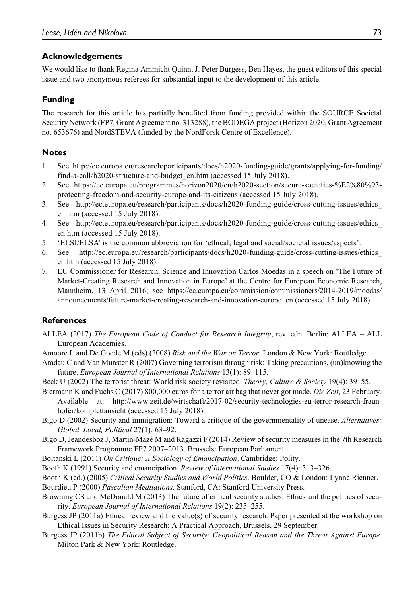## **Acknowledgements**

We would like to thank Regina Ammicht Quinn, J. Peter Burgess, Ben Hayes, the guest editors of this special issue and two anonymous referees for substantial input to the development of this article.

## **Funding**

The research for this article has partially benefited from funding provided within the SOURCE Societal Security Network (FP7, Grant Agreement no. 313288), the BODEGA project (Horizon 2020, Grant Agreement no. 653676) and NordSTEVA (funded by the NordForsk Centre of Excellence).

## **Notes**

- 1. See [http://ec.europa.eu/research/participants/docs/h2020-funding-guide/grants/applying-for-funding/](http://ec.europa.eu/research/participants/docs/h2020-funding-guide/grants/applying-for-funding/find-a-call/h2020-structure-and-budget_en.htm) [find-a-call/h2020-structure-and-budget\\_en.htm](http://ec.europa.eu/research/participants/docs/h2020-funding-guide/grants/applying-for-funding/find-a-call/h2020-structure-and-budget_en.htm) (accessed 15 July 2018).
- 2. See [https://ec.europa.eu/programmes/horizon2020/en/h2020-section/secure-societies-%E2%80%93](https://ec.europa.eu/programmes/horizon2020/en/h2020-section/secure-societies-%E2%80%93-protecting-freedom-and-security-europe-and-its-citizens) [protecting-freedom-and-security-europe-and-its-citizens](https://ec.europa.eu/programmes/horizon2020/en/h2020-section/secure-societies-%E2%80%93-protecting-freedom-and-security-europe-and-its-citizens) (accessed 15 July 2018).
- 3. See [http://ec.europa.eu/research/participants/docs/h2020-funding-guide/cross-cutting-issues/ethics\\_](http://ec.europa.eu/research/participants/docs/h2020-funding-guide/cross-cutting-issues/ethics_en.htm) [en.htm](http://ec.europa.eu/research/participants/docs/h2020-funding-guide/cross-cutting-issues/ethics_en.htm) (accessed 15 July 2018).
- 4. See [http://ec.europa.eu/research/participants/docs/h2020-funding-guide/cross-cutting-issues/ethics\\_](http://ec.europa.eu/research/participants/docs/h2020-funding-guide/cross-cutting-issues/ethics_en.htm) [en.htm](http://ec.europa.eu/research/participants/docs/h2020-funding-guide/cross-cutting-issues/ethics_en.htm) (accessed 15 July 2018).
- 5. 'ELSI/ELSA' is the common abbreviation for 'ethical, legal and social/societal issues/aspects'.
- 6. See [http://ec.europa.eu/research/participants/docs/h2020-funding-guide/cross-cutting-issues/ethics\\_](http://ec.europa.eu/research/participants/docs/h2020-funding-guide/cross-cutting-issues/ethics_en.htm) [en.htm](http://ec.europa.eu/research/participants/docs/h2020-funding-guide/cross-cutting-issues/ethics_en.htm) (accessed 15 July 2018).
- 7. EU Commissioner for Research, Science and Innovation Carlos Moedas in a speech on 'The Future of Market-Creating Research and Innovation in Europe' at the Centre for European Economic Research, Mannheim, 13 April 2016; see [https://ec.europa.eu/commission/commissioners/2014-2019/moedas/](https://ec.europa.eu/commission/commissioners/2014-2019/moedas/announcements/future-market-creating-research-and-innovation-europe_en) [announcements/future-market-creating-research-and-innovation-europe\\_en](https://ec.europa.eu/commission/commissioners/2014-2019/moedas/announcements/future-market-creating-research-and-innovation-europe_en) (accessed 15 July 2018).

# **References**

- ALLEA (2017) *The European Code of Conduct for Research Integrity*, rev. edn. Berlin: ALLEA ALL European Academies.
- Amoore L and De Goede M (eds) (2008) *Risk and the War on Terror*. London & New York: Routledge.
- Aradau C and Van Munster R (2007) Governing terrorism through risk: Taking precautions, (un)knowing the future. *European Journal of International Relations* 13(1): 89–115.
- Beck U (2002) The terrorist threat: World risk society revisited. *Theory, Culture & Society* 19(4): 39–55.
- Biermann K and Fuchs C (2017) 800,000 euros for a terror air bag that never got made. *Die Zeit*, 23 February. Available at: [http://www.zeit.de/wirtschaft/2017-02/security-technologies-eu-terror-research-fraun](http://www.zeit.de/wirtschaft/2017-02/security-technologies-eu-terror-research-fraunhofer/komplettansicht)[hofer/komplettansicht](http://www.zeit.de/wirtschaft/2017-02/security-technologies-eu-terror-research-fraunhofer/komplettansicht) (accessed 15 July 2018).
- Bigo D (2002) Security and immigration: Toward a critique of the governmentality of unease. *Alternatives: Global, Local, Political* 27(1): 63–92.
- Bigo D, Jeandesboz J, Martin-Mazé M and Ragazzi F (2014) Review of security measures in the 7th Research Framework Programme FP7 2007–2013. Brussels: European Parliament.
- Boltanski L (2011) *On Critique: A Sociology of Emancipation*. Cambridge: Polity.
- Booth K (1991) Security and emancipation. *Review of International Studies* 17(4): 313–326.
- Booth K (ed.) (2005) *Critical Security Studies and World Politics*. Boulder, CO & London: Lynne Rienner.
- Bourdieu P (2000) *Pascalian Meditations*. Stanford, CA: Stanford University Press.
- Browning CS and McDonald M (2013) The future of critical security studies: Ethics and the politics of security. *European Journal of International Relations* 19(2): 235–255.
- Burgess JP (2011a) Ethical review and the value(s) of security research. Paper presented at the workshop on Ethical Issues in Security Research: A Practical Approach, Brussels, 29 September.
- Burgess JP (2011b) *The Ethical Subject of Security: Geopolitical Reason and the Threat Against Europe*. Milton Park & New York: Routledge.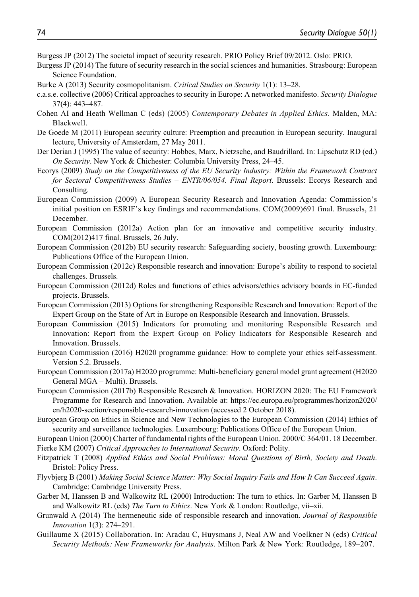- Burgess JP (2012) The societal impact of security research. PRIO Policy Brief 09/2012. Oslo: PRIO.
- Burgess JP (2014) The future of security research in the social sciences and humanities. Strasbourg: European Science Foundation.
- Burke A (2013) Security cosmopolitanism. *Critical Studies on Security* 1(1): 13–28.
- c.a.s.e. collective (2006) Critical approaches to security in Europe: A networked manifesto. *Security Dialogue* 37(4): 443–487.
- Cohen AI and Heath Wellman C (eds) (2005) *Contemporary Debates in Applied Ethics*. Malden, MA: Blackwell.
- De Goede M (2011) European security culture: Preemption and precaution in European security. Inaugural lecture, University of Amsterdam, 27 May 2011.
- Der Derian J (1995) The value of security: Hobbes, Marx, Nietzsche, and Baudrillard. In: Lipschutz RD (ed.) *On Security*. New York & Chichester: Columbia University Press, 24–45.
- Ecorys (2009) *Study on the Competitiveness of the EU Security Industry: Within the Framework Contract for Sectoral Competitiveness Studies – ENTR/06/054. Final Report*. Brussels: Ecorys Research and Consulting.
- European Commission (2009) A European Security Research and Innovation Agenda: Commission's initial position on ESRIF's key findings and recommendations. COM(2009)691 final. Brussels, 21 December.
- European Commission (2012a) Action plan for an innovative and competitive security industry. COM(2012)417 final. Brussels, 26 July.
- European Commission (2012b) EU security research: Safeguarding society, boosting growth. Luxembourg: Publications Office of the European Union.
- European Commission (2012c) Responsible research and innovation: Europe's ability to respond to societal challenges. Brussels.
- European Commission (2012d) Roles and functions of ethics advisors/ethics advisory boards in EC-funded projects. Brussels.
- European Commission (2013) Options for strengthening Responsible Research and Innovation: Report of the Expert Group on the State of Art in Europe on Responsible Research and Innovation. Brussels.
- European Commission (2015) Indicators for promoting and monitoring Responsible Research and Innovation: Report from the Expert Group on Policy Indicators for Responsible Research and Innovation. Brussels.
- European Commission (2016) H2020 programme guidance: How to complete your ethics self-assessment. Version 5.2. Brussels.
- European Commission (2017a) H2020 programme: Multi-beneficiary general model grant agreement (H2020 General MGA – Multi). Brussels.
- European Commission (2017b) Responsible Research & Innovation. HORIZON 2020: The EU Framework Programme for Research and Innovation. Available at: [https://ec.europa.eu/programmes/horizon2020/](https://ec.europa.eu/programmes/horizon2020/en/h2020-section/responsible-research-innovation) [en/h2020-section/responsible-research-innovation](https://ec.europa.eu/programmes/horizon2020/en/h2020-section/responsible-research-innovation) (accessed 2 October 2018).
- European Group on Ethics in Science and New Technologies to the European Commission (2014) Ethics of security and surveillance technologies. Luxembourg: Publications Office of the European Union.

European Union (2000) Charter of fundamental rights of the European Union. 2000/C 364/01. 18 December. Fierke KM (2007) *Critical Approaches to International Security*. Oxford: Polity.

- Fitzpatrick T (2008) *Applied Ethics and Social Problems: Moral Questions of Birth, Society and Death*. Bristol: Policy Press.
- Flyvbjerg B (2001) *Making Social Science Matter: Why Social Inquiry Fails and How It Can Succeed Again*. Cambridge: Cambridge University Press.
- Garber M, Hanssen B and Walkowitz RL (2000) Introduction: The turn to ethics. In: Garber M, Hanssen B and Walkowitz RL (eds) *The Turn to Ethics*. New York & London: Routledge, vii–xii.
- Grunwald A (2014) The hermeneutic side of responsible research and innovation. *Journal of Responsible Innovation* 1(3): 274–291.
- Guillaume X (2015) Collaboration. In: Aradau C, Huysmans J, Neal AW and Voelkner N (eds) *Critical Security Methods: New Frameworks for Analysis*. Milton Park & New York: Routledge, 189–207.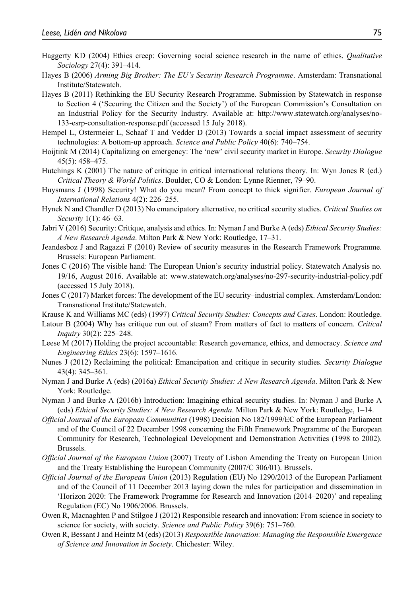- Haggerty KD (2004) Ethics creep: Governing social science research in the name of ethics. *Qualitative Sociology* 27(4): 391–414.
- Hayes B (2006) *Arming Big Brother: The EU's Security Research Programme*. Amsterdam: Transnational Institute/Statewatch.
- Hayes B (2011) Rethinking the EU Security Research Programme. Submission by Statewatch in response to Section 4 ('Securing the Citizen and the Society') of the European Commission's Consultation on an Industrial Policy for the Security Industry. Available at: [http://www.statewatch.org/analyses/no-](http://www.statewatch.org/analyses/no-133-esrp-consultation-response.pdf)[133-esrp-consultation-response.pdf](http://www.statewatch.org/analyses/no-133-esrp-consultation-response.pdf) (accessed 15 July 2018).
- Hempel L, Ostermeier L, Schaaf T and Vedder D (2013) Towards a social impact assessment of security technologies: A bottom-up approach. *Science and Public Policy* 40(6): 740–754.
- Hoijtink M (2014) Capitalizing on emergency: The 'new' civil security market in Europe. *Security Dialogue* 45(5): 458–475.
- Hutchings K (2001) The nature of critique in critical international relations theory. In: Wyn Jones R (ed.) *Critical Theory & World Politics*. Boulder, CO & London: Lynne Rienner, 79–90.
- Huysmans J (1998) Security! What do you mean? From concept to thick signifier. *European Journal of International Relations* 4(2): 226–255.
- Hynek N and Chandler D (2013) No emancipatory alternative, no critical security studies. *Critical Studies on Security* 1(1): 46–63.
- Jabri V (2016) Security: Critique, analysis and ethics. In: Nyman J and Burke A (eds) *Ethical Security Studies: A New Research Agenda*. Milton Park & New York: Routledge, 17–31.
- Jeandesboz J and Ragazzi F (2010) Review of security measures in the Research Framework Programme. Brussels: European Parliament.
- Jones C (2016) The visible hand: The European Union's security industrial policy. Statewatch Analysis no. 19/16, August 2016. Available at: <www.statewatch.org/analyses/no-297-security-industrial-policy.pdf> (accessed 15 July 2018).
- Jones C (2017) Market forces: The development of the EU security–industrial complex. Amsterdam/London: Transnational Institute/Statewatch.
- Krause K and Williams MC (eds) (1997) *Critical Security Studies: Concepts and Cases*. London: Routledge.
- Latour B (2004) Why has critique run out of steam? From matters of fact to matters of concern. *Critical Inquiry* 30(2): 225–248.
- Leese M (2017) Holding the project accountable: Research governance, ethics, and democracy. *Science and Engineering Ethics* 23(6): 1597–1616.
- Nunes J (2012) Reclaiming the political: Emancipation and critique in security studies. *Security Dialogue* 43(4): 345–361.
- Nyman J and Burke A (eds) (2016a) *Ethical Security Studies: A New Research Agenda*. Milton Park & New York: Routledge.
- Nyman J and Burke A (2016b) Introduction: Imagining ethical security studies. In: Nyman J and Burke A (eds) *Ethical Security Studies: A New Research Agenda*. Milton Park & New York: Routledge, 1–14.
- *Official Journal of the European Communities* (1998) Decision No 182/1999/EC of the European Parliament and of the Council of 22 December 1998 concerning the Fifth Framework Programme of the European Community for Research, Technological Development and Demonstration Activities (1998 to 2002). Brussels.
- *Official Journal of the European Union* (2007) Treaty of Lisbon Amending the Treaty on European Union and the Treaty Establishing the European Community (2007/C 306/01). Brussels.
- *Official Journal of the European Union* (2013) Regulation (EU) No 1290/2013 of the European Parliament and of the Council of 11 December 2013 laying down the rules for participation and dissemination in 'Horizon 2020: The Framework Programme for Research and Innovation (2014–2020)' and repealing Regulation (EC) No 1906/2006. Brussels.
- Owen R, Macnaghten P and Stilgoe J (2012) Responsible research and innovation: From science in society to science for society, with society. *Science and Public Policy* 39(6): 751–760.
- Owen R, Bessant J and Heintz M (eds) (2013) *Responsible Innovation: Managing the Responsible Emergence of Science and Innovation in Society*. Chichester: Wiley.